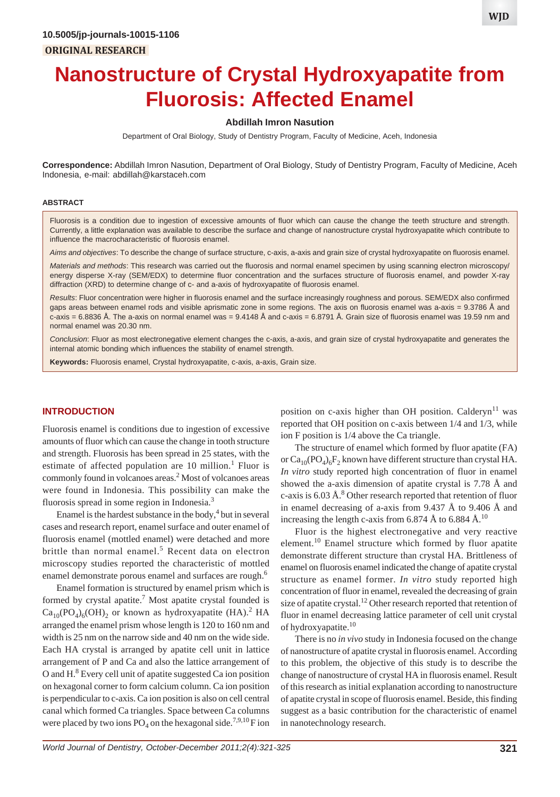**WJD**

# **Nanostructure of Crystal Hydroxyapatite from Fluorosis: Affected Enamel**

# **Abdillah Imron Nasution**

Department of Oral Biology, Study of Dentistry Program, Faculty of Medicine, Aceh, Indonesia

**Correspondence:** Abdillah Imron Nasution, Department of Oral Biology, Study of Dentistry Program, Faculty of Medicine, Aceh Indonesia, e-mail: abdillah@karstaceh.com

#### **ABSTRACT**

Fluorosis is a condition due to ingestion of excessive amounts of fluor which can cause the change the teeth structure and strength. Currently, a little explanation was available to describe the surface and change of nanostructure crystal hydroxyapatite which contribute to influence the macrocharacteristic of fluorosis enamel.

*Aims and objectives*: To describe the change of surface structure, c-axis, a-axis and grain size of crystal hydroxyapatite on fluorosis enamel.

*Materials and methods*: This research was carried out the fluorosis and normal enamel specimen by using scanning electron microscopy/ energy disperse X-ray (SEM/EDX) to determine fluor concentration and the surfaces structure of fluorosis enamel, and powder X-ray diffraction (XRD) to determine change of c- and a-axis of hydroxyapatite of fluorosis enamel.

*Results*: Fluor concentration were higher in fluorosis enamel and the surface increasingly roughness and porous. SEM/EDX also confirmed gaps areas between enamel rods and visible aprismatic zone in some regions. The axis on fluorosis enamel was a-axis = 9.3786 Å and c-axis = 6.8836 Å. The a-axis on normal enamel was =  $9.4148$  Å and c-axis = 6.8791 Å. Grain size of fluorosis enamel was 19.59 nm and normal enamel was 20.30 nm.

*Conclusion*: Fluor as most electronegative element changes the c-axis, a-axis, and grain size of crystal hydroxyapatite and generates the internal atomic bonding which influences the stability of enamel strength.

**Keywords:** Fluorosis enamel, Crystal hydroxyapatite, c-axis, a-axis, Grain size.

# **INTRODUCTION**

Fluorosis enamel is conditions due to ingestion of excessive amounts of fluor which can cause the change in tooth structure and strength. Fluorosis has been spread in 25 states, with the estimate of affected population are 10 million.<sup>1</sup> Fluor is commonly found in volcanoes areas.<sup>2</sup> Most of volcanoes areas were found in Indonesia. This possibility can make the fluorosis spread in some region in Indonesia.3

Enamel is the hardest substance in the body, $4$  but in several cases and research report, enamel surface and outer enamel of fluorosis enamel (mottled enamel) were detached and more brittle than normal enamel.<sup>5</sup> Recent data on electron microscopy studies reported the characteristic of mottled enamel demonstrate porous enamel and surfaces are rough.<sup>6</sup>

Enamel formation is structured by enamel prism which is formed by crystal apatite.<sup>7</sup> Most apatite crystal founded is  $Ca_{10}(PO_4)_6(OH)_2$  or known as hydroxyapatite (HA).<sup>2</sup> HA arranged the enamel prism whose length is 120 to 160 nm and width is 25 nm on the narrow side and 40 nm on the wide side. Each HA crystal is arranged by apatite cell unit in lattice arrangement of P and Ca and also the lattice arrangement of O and H.<sup>8</sup> Every cell unit of apatite suggested Ca ion position on hexagonal corner to form calcium column. Ca ion position is perpendicular to c-axis. Ca ion position is also on cell central canal which formed Ca triangles. Space between Ca columns were placed by two ions  $PO_4$  on the hexagonal side.<sup>7,9,10</sup> F ion

position on c-axis higher than OH position. Calderyn<sup>11</sup> was reported that OH position on c-axis between 1/4 and 1/3, while ion F position is 1/4 above the Ca triangle.

The structure of enamel which formed by fluor apatite (FA) or  $Ca_{10}(PO_4)_6F_2$  known have different structure than crystal HA. *In vitro* study reported high concentration of fluor in enamel showed the a-axis dimension of apatite crystal is 7.78 Å and c-axis is  $6.03 \text{ Å}$ .<sup>8</sup> Other research reported that retention of fluor in enamel decreasing of a-axis from 9.437 Å to 9.406 Å and increasing the length c-axis from 6.874 Å to 6.884 Å.<sup>10</sup>

Fluor is the highest electronegative and very reactive element.10 Enamel structure which formed by fluor apatite demonstrate different structure than crystal HA. Brittleness of enamel on fluorosis enamel indicated the change of apatite crystal structure as enamel former. *In vitro* study reported high concentration of fluor in enamel, revealed the decreasing of grain size of apatite crystal.<sup>12</sup> Other research reported that retention of fluor in enamel decreasing lattice parameter of cell unit crystal of hydroxyapatite.<sup>10</sup>

There is no *in vivo* study in Indonesia focused on the change of nanostructure of apatite crystal in fluorosis enamel. According to this problem, the objective of this study is to describe the change of nanostructure of crystal HA in fluorosis enamel. Result of this research as initial explanation according to nanostructure of apatite crystal in scope of fluorosis enamel. Beside, this finding suggest as a basic contribution for the characteristic of enamel in nanotechnology research.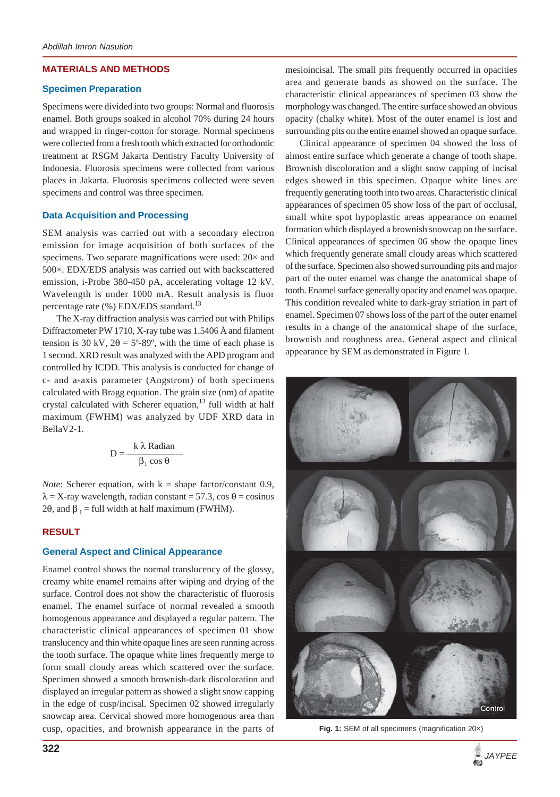# **MATERIALS AND METHODS**

## **Specimen Preparation**

Specimens were divided into two groups: Normal and fluorosis enamel. Both groups soaked in alcohol 70% during 24 hours and wrapped in ringer-cotton for storage. Normal specimens were collected from a fresh tooth which extracted for orthodontic treatment at RSGM Jakarta Dentistry Faculty University of Indonesia. Fluorosis specimens were collected from various places in Jakarta. Fluorosis specimens collected were seven specimens and control was three specimen.

# **Data Acquisition and Processing**

SEM analysis was carried out with a secondary electron emission for image acquisition of both surfaces of the specimens. Two separate magnifications were used:  $20 \times$  and 500×. EDX/EDS analysis was carried out with backscattered emission, i-Probe 380-450 pA, accelerating voltage 12 kV. Wavelength is under 1000 mA. Result analysis is fluor percentage rate (%) EDX/EDS standard.<sup>13</sup>

The X-ray diffraction analysis was carried out with Philips Diffractometer PW 1710, X-ray tube was 1.5406 Å and filament tension is 30 kV,  $2\theta = 5^{\circ} - 89^{\circ}$ , with the time of each phase is 1 second. XRD result was analyzed with the APD program and controlled by ICDD. This analysis is conducted for change of c- and a-axis parameter (Angstrom) of both specimens calculated with Bragg equation. The grain size (nm) of apatite crystal calculated with Scherer equation, $^{13}$  full width at half maximum (FWHM) was analyzed by UDF XRD data in BellaV2-1.

$$
D = \frac{k \lambda \text{ Radian}}{\beta_1 \cos \theta}
$$

*Note*: Scherer equation, with  $k = shape factor/constant$  0.9,  $\lambda$  = X-ray wavelength, radian constant = 57.3, cos  $\theta$  = cosinus 2θ, and  $\beta_1$  = full width at half maximum (FWHM).

# **RESULT**

# **General Aspect and Clinical Appearance**

Enamel control shows the normal translucency of the glossy, creamy white enamel remains after wiping and drying of the surface. Control does not show the characteristic of fluorosis enamel. The enamel surface of normal revealed a smooth homogenous appearance and displayed a regular pattern. The characteristic clinical appearances of specimen 01 show translucency and thin white opaque lines are seen running across the tooth surface. The opaque white lines frequently merge to form small cloudy areas which scattered over the surface. Specimen showed a smooth brownish-dark discoloration and displayed an irregular pattern as showed a slight snow capping in the edge of cusp/incisal. Specimen 02 showed irregularly snowcap area. Cervical showed more homogenous area than cusp, opacities, and brownish appearance in the parts of mesioincisal. The small pits frequently occurred in opacities area and generate bands as showed on the surface. The characteristic clinical appearances of specimen 03 show the morphology was changed. The entire surface showed an obvious opacity (chalky white). Most of the outer enamel is lost and surrounding pits on the entire enamel showed an opaque surface.

Clinical appearance of specimen 04 showed the loss of almost entire surface which generate a change of tooth shape. Brownish discoloration and a slight snow capping of incisal edges showed in this specimen. Opaque white lines are frequently generating tooth into two areas. Characteristic clinical appearances of specimen 05 show loss of the part of occlusal, small white spot hypoplastic areas appearance on enamel formation which displayed a brownish snowcap on the surface. Clinical appearances of specimen 06 show the opaque lines which frequently generate small cloudy areas which scattered of the surface. Specimen also showed surrounding pits and major part of the outer enamel was change the anatomical shape of tooth. Enamel surface generally opacity and enamel was opaque. This condition revealed white to dark-gray striation in part of enamel. Specimen 07 shows loss of the part of the outer enamel results in a change of the anatomical shape of the surface, brownish and roughness area. General aspect and clinical appearance by SEM as demonstrated in Figure 1.



**Fig. 1:** SEM of all specimens (magnification 20×)

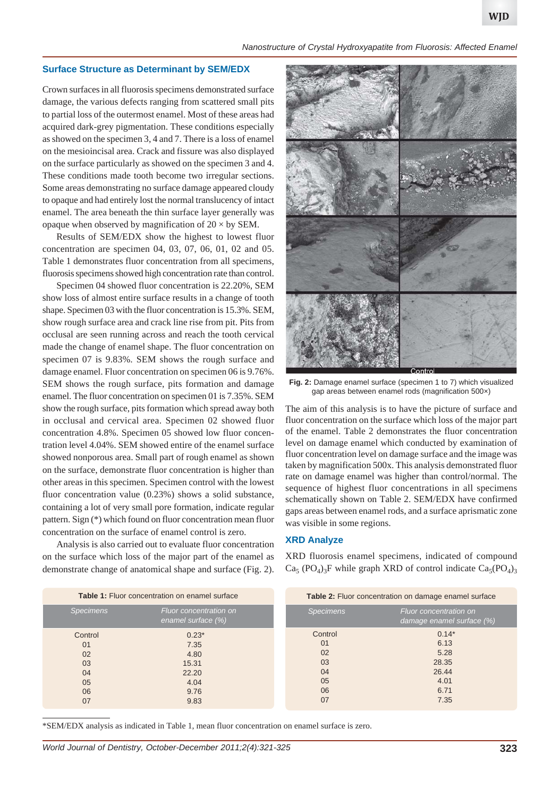#### **Surface Structure as Determinant by SEM/EDX**

Crown surfaces in all fluorosis specimens demonstrated surface damage, the various defects ranging from scattered small pits to partial loss of the outermost enamel. Most of these areas had acquired dark-grey pigmentation. These conditions especially as showed on the specimen 3, 4 and 7. There is a loss of enamel on the mesioincisal area. Crack and fissure was also displayed on the surface particularly as showed on the specimen 3 and 4. These conditions made tooth become two irregular sections. Some areas demonstrating no surface damage appeared cloudy to opaque and had entirely lost the normal translucency of intact enamel. The area beneath the thin surface layer generally was opaque when observed by magnification of  $20 \times$  by SEM.

Results of SEM/EDX show the highest to lowest fluor concentration are specimen 04, 03, 07, 06, 01, 02 and 05. Table 1 demonstrates fluor concentration from all specimens, fluorosis specimens showed high concentration rate than control.

Specimen 04 showed fluor concentration is 22.20%, SEM show loss of almost entire surface results in a change of tooth shape. Specimen 03 with the fluor concentration is 15.3%. SEM, show rough surface area and crack line rise from pit. Pits from occlusal are seen running across and reach the tooth cervical made the change of enamel shape. The fluor concentration on specimen 07 is 9.83%. SEM shows the rough surface and damage enamel. Fluor concentration on specimen 06 is 9.76%. SEM shows the rough surface, pits formation and damage enamel. The fluor concentration on specimen 01 is 7.35%. SEM show the rough surface, pits formation which spread away both in occlusal and cervical area. Specimen 02 showed fluor concentration 4.8%. Specimen 05 showed low fluor concentration level 4.04%. SEM showed entire of the enamel surface showed nonporous area. Small part of rough enamel as shown on the surface, demonstrate fluor concentration is higher than other areas in this specimen. Specimen control with the lowest fluor concentration value (0.23%) shows a solid substance, containing a lot of very small pore formation, indicate regular pattern. Sign (\*) which found on fluor concentration mean fluor concentration on the surface of enamel control is zero.

Analysis is also carried out to evaluate fluor concentration on the surface which loss of the major part of the enamel as demonstrate change of anatomical shape and surface (Fig. 2).



**Fig. 2:** Damage enamel surface (specimen 1 to 7) which visualized gap areas between enamel rods (magnification 500×)

The aim of this analysis is to have the picture of surface and fluor concentration on the surface which loss of the major part of the enamel. Table 2 demonstrates the fluor concentration level on damage enamel which conducted by examination of fluor concentration level on damage surface and the image was taken by magnification 500x. This analysis demonstrated fluor rate on damage enamel was higher than control/normal. The sequence of highest fluor concentrations in all specimens schematically shown on Table 2. SEM/EDX have confirmed gaps areas between enamel rods, and a surface aprismatic zone was visible in some regions.

# **XRD Analyze**

XRD fluorosis enamel specimens, indicated of compound  $Ca<sub>5</sub> (PO<sub>4</sub>)<sub>3</sub>F$  while graph XRD of control indicate  $Ca<sub>5</sub>(PO<sub>4</sub>)<sub>3</sub>$ 

| <b>Table 1:</b> Fluor concentration on enamel surface |                                              | Table 2: Fluor concentration on damage enamel surface |                                                     |
|-------------------------------------------------------|----------------------------------------------|-------------------------------------------------------|-----------------------------------------------------|
| <b>Specimens</b>                                      | Fluor concentration on<br>enamel surface (%) | <b>Specimens</b>                                      | Fluor concentration on<br>damage enamel surface (%) |
| Control                                               | $0.23*$                                      | Control                                               | $0.14*$                                             |
| 01                                                    | 7.35                                         | 01                                                    | 6.13                                                |
| 02                                                    | 4.80                                         | 02                                                    | 5.28                                                |
| 03                                                    | 15.31                                        | 03                                                    | 28.35                                               |
| 04                                                    | 22.20                                        | 04                                                    | 26.44                                               |
| 05                                                    | 4.04                                         | 05                                                    | 4.01                                                |
| 06                                                    | 9.76                                         | 06                                                    | 6.71                                                |
| 07                                                    | 9.83                                         | 07                                                    | 7.35                                                |

\*SEM/EDX analysis as indicated in Table 1, mean fluor concentration on enamel surface is zero.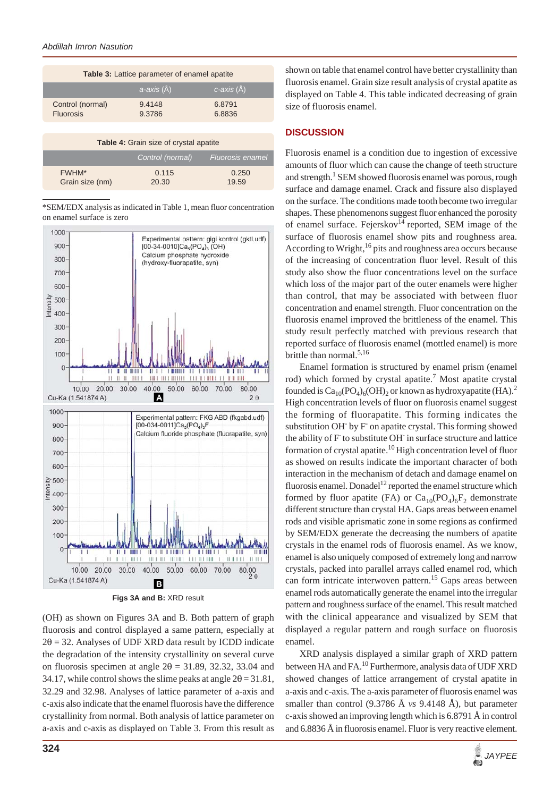| Table 3: Lattice parameter of enamel apatite |                  |                   |  |  |  |
|----------------------------------------------|------------------|-------------------|--|--|--|
|                                              | $ a$ -axis (Å)   | $c$ -axis $(\AA)$ |  |  |  |
| Control (normal)<br><b>Fluorosis</b>         | 9.4148<br>9.3786 | 6.8791<br>6.8836  |  |  |  |

| Table 4: Grain size of crystal apatite |                  |                  |  |  |
|----------------------------------------|------------------|------------------|--|--|
|                                        | Control (normal) | Fluorosis enamel |  |  |
| FWHM*<br>Grain size (nm)               | 0.115<br>20.30   | 0.250<br>19.59   |  |  |

\*SEM/EDX analysis as indicated in Table 1, mean fluor concentration on enamel surface is zero



**Figs 3A and B:** XRD result

(OH) as shown on Figures 3A and B. Both pattern of graph fluorosis and control displayed a same pattern, especially at  $2\theta = 32$ . Analyses of UDF XRD data result by ICDD indicate the degradation of the intensity crystallinity on several curve on fluorosis specimen at angle  $2\theta = 31.89$ , 32.32, 33.04 and 34.17, while control shows the slime peaks at angle  $2\theta = 31.81$ , 32.29 and 32.98. Analyses of lattice parameter of a-axis and c-axis also indicate that the enamel fluorosis have the difference crystallinity from normal. Both analysis of lattice parameter on a-axis and c-axis as displayed on Table 3. From this result as shown on table that enamel control have better crystallinity than fluorosis enamel. Grain size result analysis of crystal apatite as displayed on Table 4. This table indicated decreasing of grain size of fluorosis enamel.

# **DISCUSSION**

Fluorosis enamel is a condition due to ingestion of excessive amounts of fluor which can cause the change of teeth structure and strength.<sup>1</sup> SEM showed fluorosis enamel was porous, rough surface and damage enamel. Crack and fissure also displayed on the surface. The conditions made tooth become two irregular shapes. These phenomenons suggest fluor enhanced the porosity of enamel surface. Fejerskov<sup>14</sup> reported, SEM image of the surface of fluorosis enamel show pits and roughness area. According to Wright, $16$  pits and roughness area occurs because of the increasing of concentration fluor level. Result of this study also show the fluor concentrations level on the surface which loss of the major part of the outer enamels were higher than control, that may be associated with between fluor concentration and enamel strength. Fluor concentration on the fluorosis enamel improved the brittleness of the enamel. This study result perfectly matched with previous research that reported surface of fluorosis enamel (mottled enamel) is more brittle than normal.5,16

Enamel formation is structured by enamel prism (enamel rod) which formed by crystal apatite.<sup>7</sup> Most apatite crystal founded is  $Ca_{10}(PO_4)_6(OH)_2$  or known as hydroxyapatite (HA).<sup>2</sup> High concentration levels of fluor on fluorosis enamel suggest the forming of fluorapatite. This forming indicates the substitution OH<sup>-</sup> by F<sup>-</sup> on apatite crystal. This forming showed the ability of F to substitute OH in surface structure and lattice formation of crystal apatite.<sup>10</sup> High concentration level of fluor as showed on results indicate the important character of both interaction in the mechanism of detach and damage enamel on fluorosis enamel. Donadel<sup>12</sup> reported the enamel structure which formed by fluor apatite (FA) or  $Ca_{10}(PO_4)_6F_2$  demonstrate different structure than crystal HA. Gaps areas between enamel rods and visible aprismatic zone in some regions as confirmed by SEM/EDX generate the decreasing the numbers of apatite crystals in the enamel rods of fluorosis enamel. As we know, enamel is also uniquely composed of extremely long and narrow crystals, packed into parallel arrays called enamel rod, which can form intricate interwoven pattern.<sup>15</sup> Gaps areas between enamel rods automatically generate the enamel into the irregular pattern and roughness surface of the enamel. This result matched with the clinical appearance and visualized by SEM that displayed a regular pattern and rough surface on fluorosis enamel.

XRD analysis displayed a similar graph of XRD pattern between HA and FA.<sup>10</sup> Furthermore, analysis data of UDF XRD showed changes of lattice arrangement of crystal apatite in a-axis and c-axis. The a-axis parameter of fluorosis enamel was smaller than control (9.3786 Å *vs* 9.4148 Å), but parameter c-axis showed an improving length which is 6.8791 Å in control and 6.8836 Å in fluorosis enamel. Fluor is very reactive element.